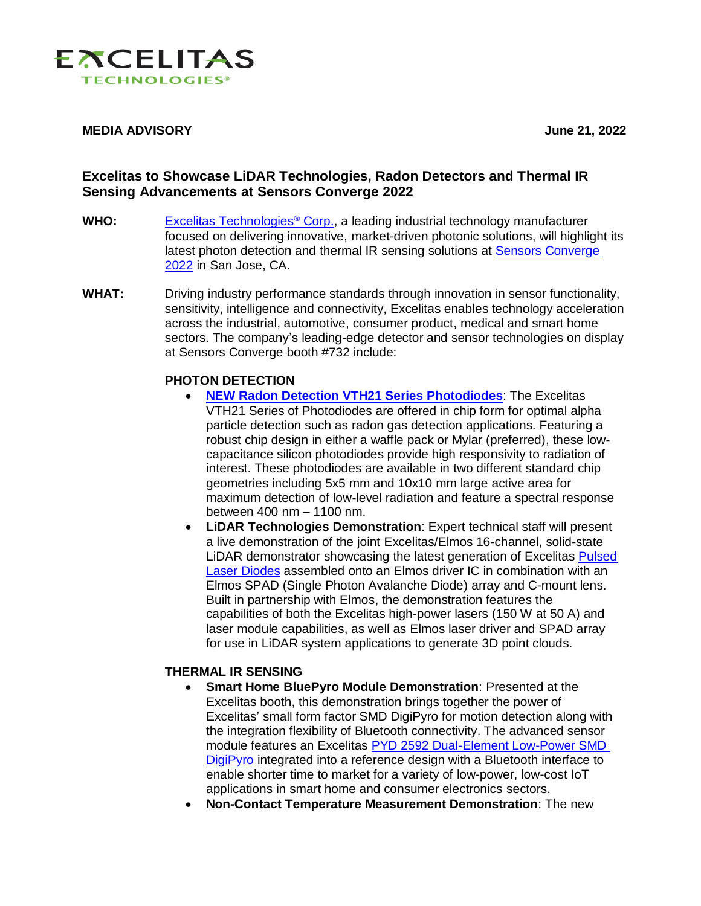

#### **MEDIA ADVISORY June 21, 2022**

# **Excelitas to Showcase LiDAR Technologies, Radon Detectors and Thermal IR Sensing Advancements at Sensors Converge 2022**

- **WHO:** [Excelitas Technologies](https://www.excelitas.com/)® Corp., a leading industrial technology manufacturer focused on delivering innovative, market-driven photonic solutions, will highlight its latest photon detection and thermal IR sensing solutions at [Sensors Converge](https://www.sensorsconverge.com/) 2022 in San Jose, CA.
- **WHAT:** Driving industry performance standards through innovation in sensor functionality, sensitivity, intelligence and connectivity, Excelitas enables technology acceleration across the industrial, automotive, consumer product, medical and smart home sectors. The company's leading-edge detector and sensor technologies on display at Sensors Converge booth #732 include:

## **PHOTON DETECTION**

- **[NEW Radon Detection VTH21 Series](https://www.excelitas.com/product-category/photodiodes-radon-detection) Photodiodes**: The Excelitas VTH21 Series of Photodiodes are offered in chip form for optimal alpha particle detection such as radon gas detection applications. Featuring a robust chip design in either a waffle pack or Mylar (preferred), these lowcapacitance silicon photodiodes provide high responsivity to radiation of interest. These photodiodes are available in two different standard chip geometries including 5x5 mm and 10x10 mm large active area for maximum detection of low-level radiation and feature a spectral response between 400 nm – 1100 nm.
- **LiDAR Technologies Demonstration**: Expert technical staff will present a live demonstration of the joint Excelitas/Elmos 16-channel, solid-state LiDAR demonstrator showcasing the latest generation of Excelitas [Pulsed](https://www.excelitas.com/product-category/pulsed-laser-diodes-arrays)  [Laser Diodes](https://www.excelitas.com/product-category/pulsed-laser-diodes-arrays) assembled onto an Elmos driver IC in combination with an Elmos SPAD (Single Photon Avalanche Diode) array and C-mount lens. Built in partnership with Elmos, the demonstration features the capabilities of both the Excelitas high-power lasers (150 W at 50 A) and laser module capabilities, as well as Elmos laser driver and SPAD array for use in LiDAR system applications to generate 3D point clouds.

### **THERMAL IR SENSING**

- **Smart Home BluePyro Module Demonstration**: Presented at the Excelitas booth, this demonstration brings together the power of Excelitas' small form factor SMD DigiPyro for motion detection along with the integration flexibility of Bluetooth connectivity. The advanced sensor module features an Excelitas [PYD 2592 Dual-Element Low-Power SMD](https://www.excelitas.com/product/pyd-2592-dual-element-low-power-smd-digipyro)  [DigiPyro](https://www.excelitas.com/product/pyd-2592-dual-element-low-power-smd-digipyro) integrated into a reference design with a Bluetooth interface to enable shorter time to market for a variety of low-power, low-cost IoT applications in smart home and consumer electronics sectors.
- **Non-Contact Temperature Measurement Demonstration**: The new